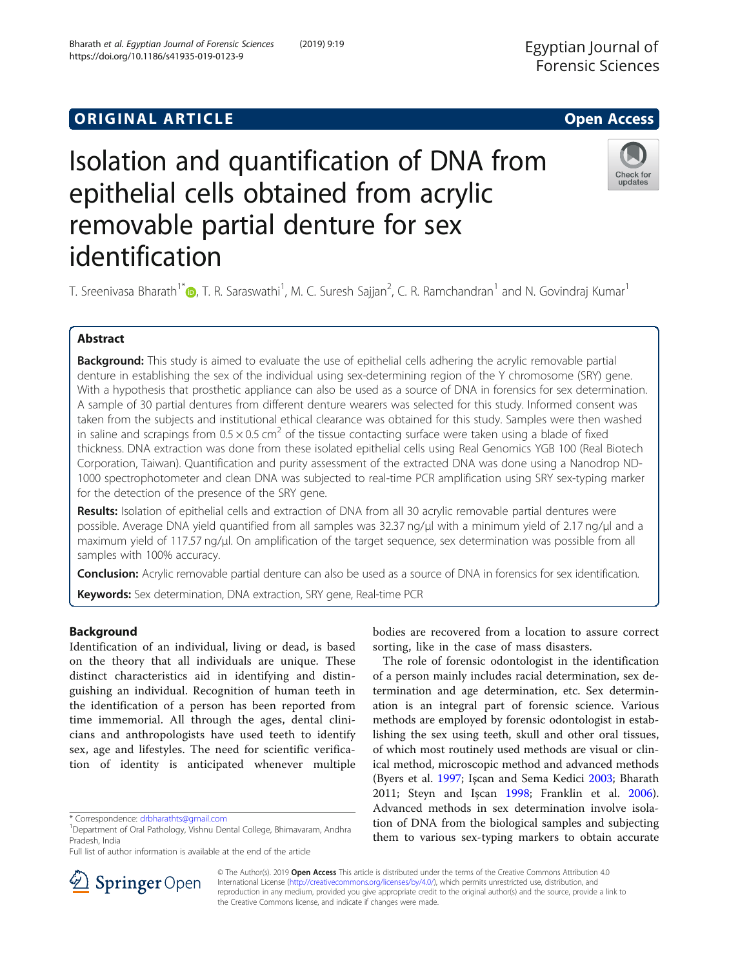# Isolation and quantification of DNA from epithelial cells obtained from acrylic removable partial denture for sex identification



T. Sreenivasa Bharath<sup>1\*</sup>�, T. R. Saraswathi<sup>1</sup>, M. C. Suresh Sajjan<sup>2</sup>, C. R. Ramchandran<sup>1</sup> and N. Govindraj Kumar<sup>1</sup>

### Abstract

Background: This study is aimed to evaluate the use of epithelial cells adhering the acrylic removable partial denture in establishing the sex of the individual using sex-determining region of the Y chromosome (SRY) gene. With a hypothesis that prosthetic appliance can also be used as a source of DNA in forensics for sex determination. A sample of 30 partial dentures from different denture wearers was selected for this study. Informed consent was taken from the subjects and institutional ethical clearance was obtained for this study. Samples were then washed in saline and scrapings from  $0.5 \times 0.5$  cm<sup>2</sup> of the tissue contacting surface were taken using a blade of fixed thickness. DNA extraction was done from these isolated epithelial cells using Real Genomics YGB 100 (Real Biotech Corporation, Taiwan). Quantification and purity assessment of the extracted DNA was done using a Nanodrop ND-1000 spectrophotometer and clean DNA was subjected to real-time PCR amplification using SRY sex-typing marker for the detection of the presence of the SRY gene.

Results: Isolation of epithelial cells and extraction of DNA from all 30 acrylic removable partial dentures were possible. Average DNA yield quantified from all samples was 32.37 ng/μl with a minimum yield of 2.17 ng/μl and a maximum yield of 117.57 ng/μl. On amplification of the target sequence, sex determination was possible from all samples with 100% accuracy.

**Conclusion:** Acrylic removable partial denture can also be used as a source of DNA in forensics for sex identification.

Keywords: Sex determination, DNA extraction, SRY gene, Real-time PCR

### Background

Identification of an individual, living or dead, is based on the theory that all individuals are unique. These distinct characteristics aid in identifying and distinguishing an individual. Recognition of human teeth in the identification of a person has been reported from time immemorial. All through the ages, dental clinicians and anthropologists have used teeth to identify sex, age and lifestyles. The need for scientific verification of identity is anticipated whenever multiple

bodies are recovered from a location to assure correct sorting, like in the case of mass disasters.

The role of forensic odontologist in the identification of a person mainly includes racial determination, sex determination and age determination, etc. Sex determination is an integral part of forensic science. Various methods are employed by forensic odontologist in establishing the sex using teeth, skull and other oral tissues, of which most routinely used methods are visual or clinical method, microscopic method and advanced methods (Byers et al. [1997](#page-7-0); Işcan and Sema Kedici [2003;](#page-7-0) Bharath 2011; Steyn and Işcan [1998;](#page-7-0) Franklin et al. [2006](#page-7-0)). Advanced methods in sex determination involve isolation of DNA from the biological samples and subjecting them to various sex-typing markers to obtain accurate



© The Author(s). 2019 Open Access This article is distributed under the terms of the Creative Commons Attribution 4.0 International License ([http://creativecommons.org/licenses/by/4.0/\)](http://creativecommons.org/licenses/by/4.0/), which permits unrestricted use, distribution, and reproduction in any medium, provided you give appropriate credit to the original author(s) and the source, provide a link to the Creative Commons license, and indicate if changes were made.

<sup>\*</sup> Correspondence: [drbharathts@gmail.com](mailto:drbharathts@gmail.com) <sup>1</sup>

<sup>&</sup>lt;sup>1</sup>Department of Oral Pathology, Vishnu Dental College, Bhimavaram, Andhra Pradesh, India

Full list of author information is available at the end of the article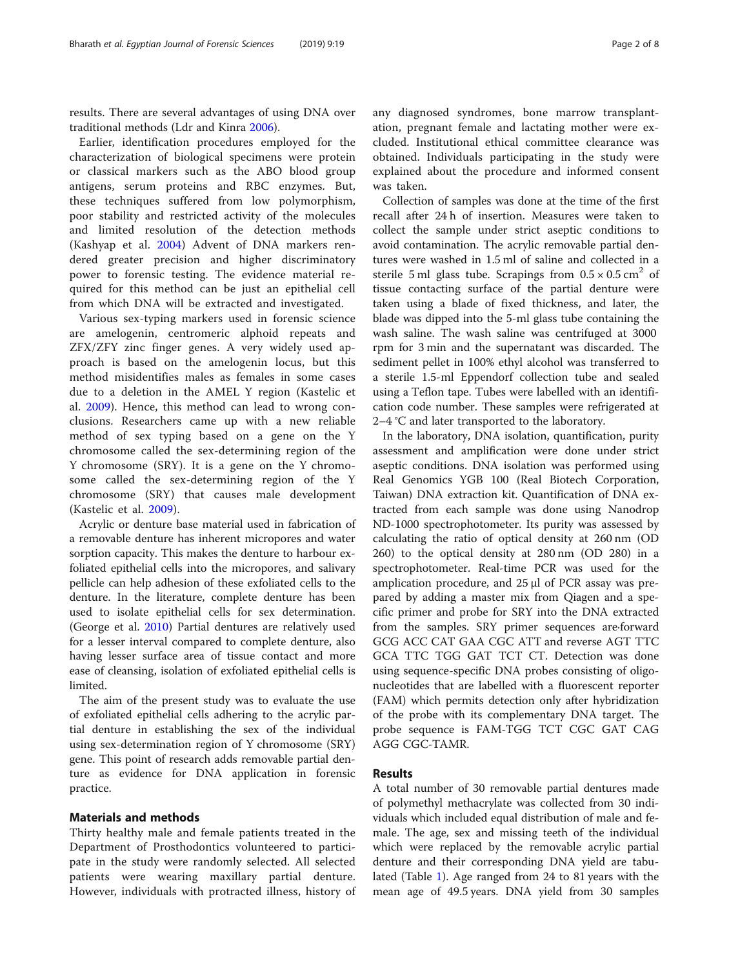results. There are several advantages of using DNA over traditional methods (Ldr and Kinra [2006\)](#page-7-0).

Earlier, identification procedures employed for the characterization of biological specimens were protein or classical markers such as the ABO blood group antigens, serum proteins and RBC enzymes. But, these techniques suffered from low polymorphism, poor stability and restricted activity of the molecules and limited resolution of the detection methods (Kashyap et al. [2004](#page-7-0)) Advent of DNA markers rendered greater precision and higher discriminatory power to forensic testing. The evidence material required for this method can be just an epithelial cell from which DNA will be extracted and investigated.

Various sex-typing markers used in forensic science are amelogenin, centromeric alphoid repeats and ZFX/ZFY zinc finger genes. A very widely used approach is based on the amelogenin locus, but this method misidentifies males as females in some cases due to a deletion in the AMEL Y region (Kastelic et al. [2009](#page-7-0)). Hence, this method can lead to wrong conclusions. Researchers came up with a new reliable method of sex typing based on a gene on the Y chromosome called the sex-determining region of the Y chromosome (SRY). It is a gene on the Y chromosome called the sex-determining region of the Y chromosome (SRY) that causes male development (Kastelic et al. [2009](#page-7-0)).

Acrylic or denture base material used in fabrication of a removable denture has inherent micropores and water sorption capacity. This makes the denture to harbour exfoliated epithelial cells into the micropores, and salivary pellicle can help adhesion of these exfoliated cells to the denture. In the literature, complete denture has been used to isolate epithelial cells for sex determination. (George et al. [2010\)](#page-7-0) Partial dentures are relatively used for a lesser interval compared to complete denture, also having lesser surface area of tissue contact and more ease of cleansing, isolation of exfoliated epithelial cells is limited.

The aim of the present study was to evaluate the use of exfoliated epithelial cells adhering to the acrylic partial denture in establishing the sex of the individual using sex-determination region of Y chromosome (SRY) gene. This point of research adds removable partial denture as evidence for DNA application in forensic practice.

### Materials and methods

Thirty healthy male and female patients treated in the Department of Prosthodontics volunteered to participate in the study were randomly selected. All selected patients were wearing maxillary partial denture. However, individuals with protracted illness, history of any diagnosed syndromes, bone marrow transplantation, pregnant female and lactating mother were excluded. Institutional ethical committee clearance was obtained. Individuals participating in the study were explained about the procedure and informed consent was taken.

Collection of samples was done at the time of the first recall after 24 h of insertion. Measures were taken to collect the sample under strict aseptic conditions to avoid contamination. The acrylic removable partial dentures were washed in 1.5 ml of saline and collected in a sterile 5 ml glass tube. Scrapings from  $0.5 \times 0.5$  cm<sup>2</sup> of tissue contacting surface of the partial denture were taken using a blade of fixed thickness, and later, the blade was dipped into the 5-ml glass tube containing the wash saline. The wash saline was centrifuged at 3000 rpm for 3 min and the supernatant was discarded. The sediment pellet in 100% ethyl alcohol was transferred to a sterile 1.5-ml Eppendorf collection tube and sealed using a Teflon tape. Tubes were labelled with an identification code number. These samples were refrigerated at 2–4 °C and later transported to the laboratory.

In the laboratory, DNA isolation, quantification, purity assessment and amplification were done under strict aseptic conditions. DNA isolation was performed using Real Genomics YGB 100 (Real Biotech Corporation, Taiwan) DNA extraction kit. Quantification of DNA extracted from each sample was done using Nanodrop ND-1000 spectrophotometer. Its purity was assessed by calculating the ratio of optical density at 260 nm (OD 260) to the optical density at 280 nm (OD 280) in a spectrophotometer. Real-time PCR was used for the amplication procedure, and 25 μl of PCR assay was prepared by adding a master mix from Qiagen and a specific primer and probe for SRY into the DNA extracted from the samples. SRY primer sequences are·forward GCG ACC CAT GAA CGC ATT and reverse AGT TTC GCA TTC TGG GAT TCT CT. Detection was done using sequence-specific DNA probes consisting of oligonucleotides that are labelled with a fluorescent reporter (FAM) which permits detection only after hybridization of the probe with its complementary DNA target. The probe sequence is FAM-TGG TCT CGC GAT CAG AGG CGC-TAMR.

### Results

A total number of 30 removable partial dentures made of polymethyl methacrylate was collected from 30 individuals which included equal distribution of male and female. The age, sex and missing teeth of the individual which were replaced by the removable acrylic partial denture and their corresponding DNA yield are tabulated (Table [1](#page-2-0)). Age ranged from 24 to 81 years with the mean age of 49.5 years. DNA yield from 30 samples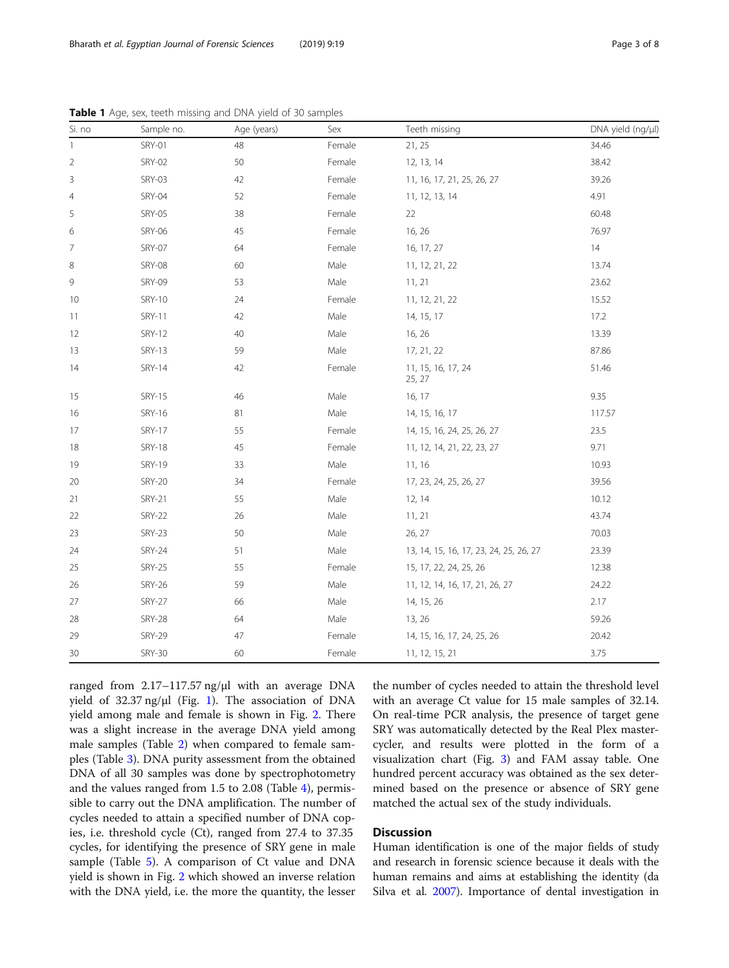| Si. no       | Sample no.    | Age (years) | Sex    | Teeth missing                          | DNA yield (ng/µl) |
|--------------|---------------|-------------|--------|----------------------------------------|-------------------|
| $\mathbf{1}$ | <b>SRY-01</b> | 48          | Female | 21, 25                                 | 34.46             |
| 2            | SRY-02        | 50          | Female | 12, 13, 14                             | 38.42             |
| $\mathsf 3$  | <b>SRY-03</b> | 42          | Female | 11, 16, 17, 21, 25, 26, 27             | 39.26             |
| 4            | SRY-04        | 52          | Female | 11, 12, 13, 14                         | 4.91              |
| 5            | <b>SRY-05</b> | 38          | Female | 22                                     | 60.48             |
| 6            | <b>SRY-06</b> | 45          | Female | 16, 26                                 | 76.97             |
| 7            | <b>SRY-07</b> | 64          | Female | 16, 17, 27                             | 14                |
| 8            | <b>SRY-08</b> | 60          | Male   | 11, 12, 21, 22                         | 13.74             |
| 9            | <b>SRY-09</b> | 53          | Male   | 11, 21                                 | 23.62             |
| 10           | <b>SRY-10</b> | 24          | Female | 11, 12, 21, 22                         | 15.52             |
| 11           | <b>SRY-11</b> | 42          | Male   | 14, 15, 17                             | 17.2              |
| 12           | <b>SRY-12</b> | 40          | Male   | 16, 26                                 | 13.39             |
| 13           | <b>SRY-13</b> | 59          | Male   | 17, 21, 22                             | 87.86             |
| 14           | <b>SRY-14</b> | 42          | Female | 11, 15, 16, 17, 24<br>25, 27           | 51.46             |
| 15           | <b>SRY-15</b> | 46          | Male   | 16, 17                                 | 9.35              |
| 16           | <b>SRY-16</b> | 81          | Male   | 14, 15, 16, 17                         | 117.57            |
| 17           | <b>SRY-17</b> | 55          | Female | 14, 15, 16, 24, 25, 26, 27             | 23.5              |
| 18           | <b>SRY-18</b> | 45          | Female | 11, 12, 14, 21, 22, 23, 27             | 9.71              |
| 19           | <b>SRY-19</b> | 33          | Male   | 11, 16                                 | 10.93             |
| 20           | <b>SRY-20</b> | 34          | Female | 17, 23, 24, 25, 26, 27                 | 39.56             |
| 21           | <b>SRY-21</b> | 55          | Male   | 12, 14                                 | 10.12             |
| 22           | <b>SRY-22</b> | 26          | Male   | 11, 21                                 | 43.74             |
| 23           | <b>SRY-23</b> | 50          | Male   | 26, 27                                 | 70.03             |
| 24           | <b>SRY-24</b> | 51          | Male   | 13, 14, 15, 16, 17, 23, 24, 25, 26, 27 | 23.39             |
| 25           | <b>SRY-25</b> | 55          | Female | 15, 17, 22, 24, 25, 26                 | 12.38             |
| 26           | <b>SRY-26</b> | 59          | Male   | 11, 12, 14, 16, 17, 21, 26, 27         | 24.22             |
| 27           | <b>SRY-27</b> | 66          | Male   | 14, 15, 26                             | 2.17              |
| 28           | <b>SRY-28</b> | 64          | Male   | 13, 26                                 | 59.26             |
| 29           | <b>SRY-29</b> | 47          | Female | 14, 15, 16, 17, 24, 25, 26             | 20.42             |
| 30           | <b>SRY-30</b> | 60          | Female | 11, 12, 15, 21                         | 3.75              |

<span id="page-2-0"></span>Table 1 Age, sex, teeth missing and DNA yield of 30 samples

ranged from 2.17–117.57 ng/μl with an average DNA yield of 32.37 ng/μl (Fig. [1](#page-3-0)). The association of DNA yield among male and female is shown in Fig. [2](#page-3-0). There was a slight increase in the average DNA yield among male samples (Table [2](#page-4-0)) when compared to female samples (Table [3\)](#page-4-0). DNA purity assessment from the obtained DNA of all 30 samples was done by spectrophotometry and the values ranged from 1.5 to 2.08 (Table [4\)](#page-4-0), permissible to carry out the DNA amplification. The number of cycles needed to attain a specified number of DNA copies, i.e. threshold cycle (Ct), ranged from 27.4 to 37.35 cycles, for identifying the presence of SRY gene in male sample (Table [5](#page-5-0)). A comparison of Ct value and DNA yield is shown in Fig. [2](#page-3-0) which showed an inverse relation with the DNA yield, i.e. the more the quantity, the lesser

the number of cycles needed to attain the threshold level with an average Ct value for 15 male samples of 32.14. On real-time PCR analysis, the presence of target gene SRY was automatically detected by the Real Plex mastercycler, and results were plotted in the form of a visualization chart (Fig. [3](#page-5-0)) and FAM assay table. One hundred percent accuracy was obtained as the sex determined based on the presence or absence of SRY gene matched the actual sex of the study individuals.

### **Discussion**

Human identification is one of the major fields of study and research in forensic science because it deals with the human remains and aims at establishing the identity (da Silva et al. [2007\)](#page-7-0). Importance of dental investigation in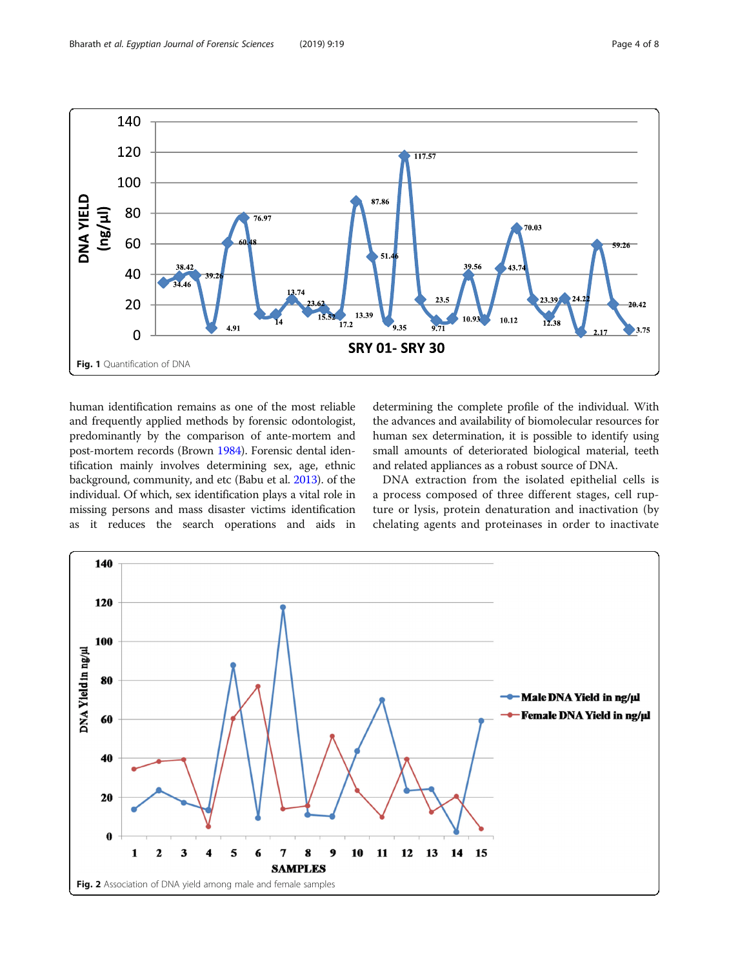<span id="page-3-0"></span>

human identification remains as one of the most reliable and frequently applied methods by forensic odontologist, predominantly by the comparison of ante-mortem and post-mortem records (Brown [1984\)](#page-7-0). Forensic dental identification mainly involves determining sex, age, ethnic background, community, and etc (Babu et al. [2013](#page-7-0)). of the individual. Of which, sex identification plays a vital role in missing persons and mass disaster victims identification as it reduces the search operations and aids in

determining the complete profile of the individual. With the advances and availability of biomolecular resources for human sex determination, it is possible to identify using small amounts of deteriorated biological material, teeth and related appliances as a robust source of DNA.

DNA extraction from the isolated epithelial cells is a process composed of three different stages, cell rupture or lysis, protein denaturation and inactivation (by chelating agents and proteinases in order to inactivate

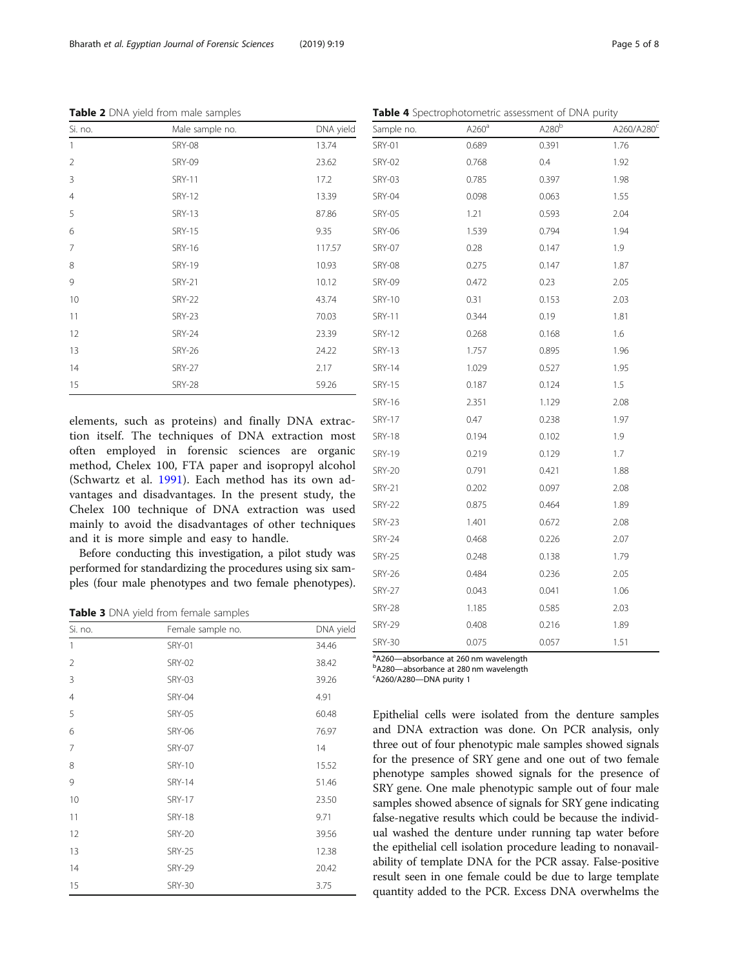| Si. no.        | Male sample no. | DNA yield |
|----------------|-----------------|-----------|
| $\mathbf{1}$   | <b>SRY-08</b>   | 13.74     |
| $\overline{2}$ | <b>SRY-09</b>   | 23.62     |
| 3              | <b>SRY-11</b>   | 17.2      |
| $\overline{4}$ | <b>SRY-12</b>   | 13.39     |
| 5              | <b>SRY-13</b>   | 87.86     |
| 6              | <b>SRY-15</b>   | 9.35      |
| $\overline{7}$ | <b>SRY-16</b>   | 117.57    |
| 8              | <b>SRY-19</b>   | 10.93     |
| 9              | <b>SRY-21</b>   | 10.12     |
| 10             | <b>SRY-22</b>   | 43.74     |
| 11             | <b>SRY-23</b>   | 70.03     |
| 12             | <b>SRY-24</b>   | 23.39     |
| 13             | <b>SRY-26</b>   | 24.22     |
| 14             | <b>SRY-27</b>   | 2.17      |
| 15             | <b>SRY-28</b>   | 59.26     |

<span id="page-4-0"></span>Table 2 DNA yield from male samples

elements, such as proteins) and finally DNA extraction itself. The techniques of DNA extraction most often employed in forensic sciences are organic method, Chelex 100, FTA paper and isopropyl alcohol (Schwartz et al. [1991](#page-7-0)). Each method has its own advantages and disadvantages. In the present study, the Chelex 100 technique of DNA extraction was used mainly to avoid the disadvantages of other techniques and it is more simple and easy to handle.

Before conducting this investigation, a pilot study was performed for standardizing the procedures using six samples (four male phenotypes and two female phenotypes).

Table 3 DNA yield from female samples

| Si. no.        | Female sample no. | DNA yield |
|----------------|-------------------|-----------|
| 1              | <b>SRY-01</b>     | 34.46     |
| $\overline{2}$ | <b>SRY-02</b>     | 38.42     |
| 3              | <b>SRY-03</b>     | 39.26     |
| $\overline{4}$ | <b>SRY-04</b>     | 4.91      |
| 5              | <b>SRY-05</b>     | 60.48     |
| 6              | <b>SRY-06</b>     | 76.97     |
| 7              | <b>SRY-07</b>     | 14        |
| 8              | <b>SRY-10</b>     | 15.52     |
| 9              | <b>SRY-14</b>     | 51.46     |
| 10             | <b>SRY-17</b>     | 23.50     |
| 11             | <b>SRY-18</b>     | 9.71      |
| 12             | <b>SRY-20</b>     | 39.56     |
| 13             | <b>SRY-25</b>     | 12.38     |
| 14             | <b>SRY-29</b>     | 20.42     |
| 15             | <b>SRY-30</b>     | 3.75      |
|                |                   |           |

| Table 4 Spectrophotometric assessment of DNA purity |                   |                   |                        |  |
|-----------------------------------------------------|-------------------|-------------------|------------------------|--|
| Sample no.                                          | A260 <sup>a</sup> | A280 <sup>b</sup> | A260/A280 <sup>c</sup> |  |
| <b>SRY-01</b>                                       | 0.689             | 0.391             | 1.76                   |  |
| <b>SRY-02</b>                                       | 0.768             | 0.4               | 1.92                   |  |
| <b>SRY-03</b>                                       | 0.785             | 0.397             | 1.98                   |  |
| <b>SRY-04</b>                                       | 0.098             | 0.063             | 1.55                   |  |
| <b>SRY-05</b>                                       | 1.21              | 0.593             | 2.04                   |  |
| <b>SRY-06</b>                                       | 1.539             | 0.794             | 1.94                   |  |
| <b>SRY-07</b>                                       | 0.28              | 0.147             | 1.9                    |  |
| <b>SRY-08</b>                                       | 0.275             | 0.147             | 1.87                   |  |
| <b>SRY-09</b>                                       | 0.472             | 0.23              | 2.05                   |  |
| <b>SRY-10</b>                                       | 0.31              | 0.153             | 2.03                   |  |
| <b>SRY-11</b>                                       | 0.344             | 0.19              | 1.81                   |  |
| <b>SRY-12</b>                                       | 0.268             | 0.168             | 1.6                    |  |
| <b>SRY-13</b>                                       | 1.757             | 0.895             | 1.96                   |  |
| <b>SRY-14</b>                                       | 1.029             | 0.527             | 1.95                   |  |
| <b>SRY-15</b>                                       | 0.187             | 0.124             | 1.5                    |  |
| <b>SRY-16</b>                                       | 2.351             | 1.129             | 2.08                   |  |
| <b>SRY-17</b>                                       | 0.47              | 0.238             | 1.97                   |  |
| <b>SRY-18</b>                                       | 0.194             | 0.102             | 1.9                    |  |
| <b>SRY-19</b>                                       | 0.219             | 0.129             | 1.7                    |  |
| <b>SRY-20</b>                                       | 0.791             | 0.421             | 1.88                   |  |
| <b>SRY-21</b>                                       | 0.202             | 0.097             | 2.08                   |  |
| <b>SRY-22</b>                                       | 0.875             | 0.464             | 1.89                   |  |
| <b>SRY-23</b>                                       | 1.401             | 0.672             | 2.08                   |  |
| <b>SRY-24</b>                                       | 0.468             | 0.226             | 2.07                   |  |
| <b>SRY-25</b>                                       | 0.248             | 0.138             | 1.79                   |  |
| <b>SRY-26</b>                                       | 0.484             | 0.236             | 2.05                   |  |
| <b>SRY-27</b>                                       | 0.043             | 0.041             | 1.06                   |  |
| <b>SRY-28</b>                                       | 1.185             | 0.585             | 2.03                   |  |
| <b>SRY-29</b>                                       | 0.408             | 0.216             | 1.89                   |  |
| <b>SRY-30</b>                                       | 0.075             | 0.057             | 1.51                   |  |

 $a^2$ A260—absorbance at 260 nm wavelength b<br>bA280—absorbance at 280 nm wavelength

<sup>b</sup>A280-absorbance at 280 nm wavelength

 $c$ A260/A280-DNA purity 1

Epithelial cells were isolated from the denture samples and DNA extraction was done. On PCR analysis, only three out of four phenotypic male samples showed signals for the presence of SRY gene and one out of two female phenotype samples showed signals for the presence of SRY gene. One male phenotypic sample out of four male samples showed absence of signals for SRY gene indicating false-negative results which could be because the individual washed the denture under running tap water before the epithelial cell isolation procedure leading to nonavailability of template DNA for the PCR assay. False-positive result seen in one female could be due to large template quantity added to the PCR. Excess DNA overwhelms the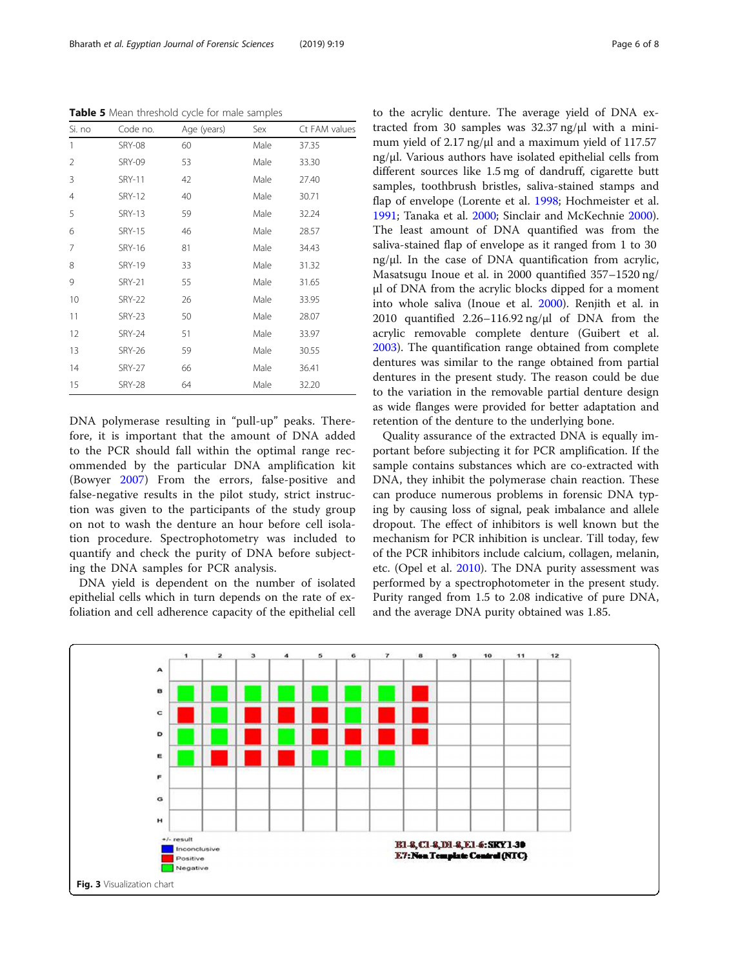<span id="page-5-0"></span>Table 5 Mean threshold cycle for male samples

| Si. no | Code no.      | Age (years) | Sex  | Ct FAM values |
|--------|---------------|-------------|------|---------------|
| 1      | <b>SRY-08</b> | 60          | Male | 37.35         |
| 2      | <b>SRY-09</b> | 53          | Male | 33.30         |
| 3      | <b>SRY-11</b> | 42          | Male | 27.40         |
| 4      | <b>SRY-12</b> | 40          | Male | 30.71         |
| 5      | <b>SRY-13</b> | 59          | Male | 32.24         |
| 6      | <b>SRY-15</b> | 46          | Male | 28.57         |
| 7      | <b>SRY-16</b> | 81          | Male | 34.43         |
| 8      | <b>SRY-19</b> | 33          | Male | 31.32         |
| 9      | <b>SRY-21</b> | 55          | Male | 31.65         |
| 10     | <b>SRY-22</b> | 26          | Male | 33.95         |
| 11     | <b>SRY-23</b> | 50          | Male | 28.07         |
| 12     | <b>SRY-24</b> | 51          | Male | 33.97         |
| 13     | <b>SRY-26</b> | 59          | Male | 30.55         |
| 14     | <b>SRY-27</b> | 66          | Male | 36.41         |
| 15     | <b>SRY-28</b> | 64          | Male | 32.20         |

DNA polymerase resulting in "pull-up" peaks. Therefore, it is important that the amount of DNA added to the PCR should fall within the optimal range recommended by the particular DNA amplification kit (Bowyer [2007](#page-7-0)) From the errors, false-positive and false-negative results in the pilot study, strict instruction was given to the participants of the study group on not to wash the denture an hour before cell isolation procedure. Spectrophotometry was included to quantify and check the purity of DNA before subjecting the DNA samples for PCR analysis.

DNA yield is dependent on the number of isolated epithelial cells which in turn depends on the rate of exfoliation and cell adherence capacity of the epithelial cell to the acrylic denture. The average yield of DNA extracted from 30 samples was 32.37 ng/μl with a minimum yield of 2.17 ng/μl and a maximum yield of 117.57 ng/μl. Various authors have isolated epithelial cells from different sources like 1.5 mg of dandruff, cigarette butt samples, toothbrush bristles, saliva-stained stamps and flap of envelope (Lorente et al. [1998](#page-7-0); Hochmeister et al. [1991](#page-7-0); Tanaka et al. [2000;](#page-7-0) Sinclair and McKechnie [2000](#page-7-0)). The least amount of DNA quantified was from the saliva-stained flap of envelope as it ranged from 1 to 30 ng/μl. In the case of DNA quantification from acrylic, Masatsugu Inoue et al. in 2000 quantified 357–1520 ng/ μl of DNA from the acrylic blocks dipped for a moment into whole saliva (Inoue et al. [2000\)](#page-7-0). Renjith et al. in 2010 quantified 2.26–116.92 ng/μl of DNA from the acrylic removable complete denture (Guibert et al. [2003](#page-7-0)). The quantification range obtained from complete dentures was similar to the range obtained from partial dentures in the present study. The reason could be due to the variation in the removable partial denture design as wide flanges were provided for better adaptation and retention of the denture to the underlying bone.

Quality assurance of the extracted DNA is equally important before subjecting it for PCR amplification. If the sample contains substances which are co-extracted with DNA, they inhibit the polymerase chain reaction. These can produce numerous problems in forensic DNA typing by causing loss of signal, peak imbalance and allele dropout. The effect of inhibitors is well known but the mechanism for PCR inhibition is unclear. Till today, few of the PCR inhibitors include calcium, collagen, melanin, etc. (Opel et al. [2010\)](#page-7-0). The DNA purity assessment was performed by a spectrophotometer in the present study. Purity ranged from 1.5 to 2.08 indicative of pure DNA, and the average DNA purity obtained was 1.85.

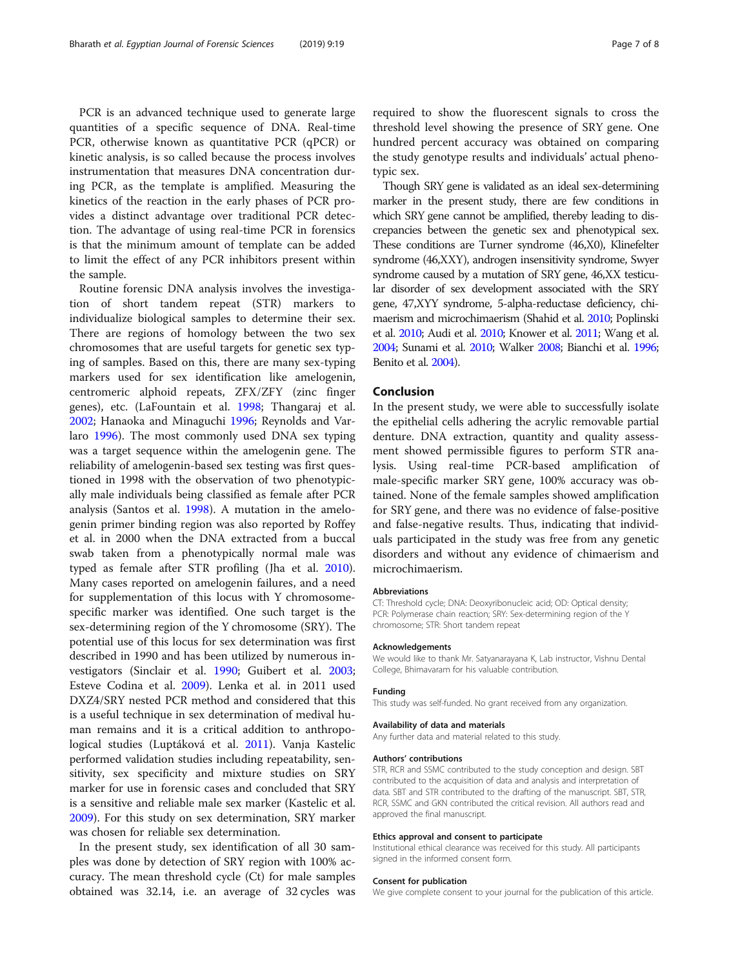PCR is an advanced technique used to generate large quantities of a specific sequence of DNA. Real-time PCR, otherwise known as quantitative PCR (qPCR) or kinetic analysis, is so called because the process involves

instrumentation that measures DNA concentration during PCR, as the template is amplified. Measuring the kinetics of the reaction in the early phases of PCR provides a distinct advantage over traditional PCR detection. The advantage of using real-time PCR in forensics is that the minimum amount of template can be added to limit the effect of any PCR inhibitors present within the sample.

Routine forensic DNA analysis involves the investigation of short tandem repeat (STR) markers to individualize biological samples to determine their sex. There are regions of homology between the two sex chromosomes that are useful targets for genetic sex typing of samples. Based on this, there are many sex-typing markers used for sex identification like amelogenin, centromeric alphoid repeats, ZFX/ZFY (zinc finger genes), etc. (LaFountain et al. [1998](#page-7-0); Thangaraj et al. [2002](#page-7-0); Hanaoka and Minaguchi [1996;](#page-7-0) Reynolds and Varlaro [1996](#page-7-0)). The most commonly used DNA sex typing was a target sequence within the amelogenin gene. The reliability of amelogenin-based sex testing was first questioned in 1998 with the observation of two phenotypically male individuals being classified as female after PCR analysis (Santos et al. [1998](#page-7-0)). A mutation in the amelogenin primer binding region was also reported by Roffey et al. in 2000 when the DNA extracted from a buccal swab taken from a phenotypically normal male was typed as female after STR profiling (Jha et al. [2010](#page-7-0)). Many cases reported on amelogenin failures, and a need for supplementation of this locus with Y chromosomespecific marker was identified. One such target is the sex-determining region of the Y chromosome (SRY). The potential use of this locus for sex determination was first described in 1990 and has been utilized by numerous investigators (Sinclair et al. [1990](#page-7-0); Guibert et al. [2003](#page-7-0); Esteve Codina et al. [2009\)](#page-7-0). Lenka et al. in 2011 used DXZ4/SRY nested PCR method and considered that this is a useful technique in sex determination of medival human remains and it is a critical addition to anthropological studies (Luptáková et al. [2011\)](#page-7-0). Vanja Kastelic performed validation studies including repeatability, sensitivity, sex specificity and mixture studies on SRY marker for use in forensic cases and concluded that SRY is a sensitive and reliable male sex marker (Kastelic et al. [2009](#page-7-0)). For this study on sex determination, SRY marker was chosen for reliable sex determination.

In the present study, sex identification of all 30 samples was done by detection of SRY region with 100% accuracy. The mean threshold cycle (Ct) for male samples obtained was 32.14, i.e. an average of 32 cycles was

required to show the fluorescent signals to cross the threshold level showing the presence of SRY gene. One hundred percent accuracy was obtained on comparing the study genotype results and individuals' actual phenotypic sex.

Though SRY gene is validated as an ideal sex-determining marker in the present study, there are few conditions in which SRY gene cannot be amplified, thereby leading to discrepancies between the genetic sex and phenotypical sex. These conditions are Turner syndrome (46,X0), Klinefelter syndrome (46,XXY), androgen insensitivity syndrome, Swyer syndrome caused by a mutation of SRY gene, 46,XX testicular disorder of sex development associated with the SRY gene, 47,XYY syndrome, 5-alpha-reductase deficiency, chimaerism and microchimaerism (Shahid et al. [2010;](#page-7-0) Poplinski et al. [2010](#page-7-0); Audi et al. [2010;](#page-7-0) Knower et al. [2011;](#page-7-0) Wang et al. [2004](#page-7-0); Sunami et al. [2010](#page-7-0); Walker [2008](#page-7-0); Bianchi et al. [1996](#page-7-0); Benito et al. [2004](#page-7-0)).

### Conclusion

In the present study, we were able to successfully isolate the epithelial cells adhering the acrylic removable partial denture. DNA extraction, quantity and quality assessment showed permissible figures to perform STR analysis. Using real-time PCR-based amplification of male-specific marker SRY gene, 100% accuracy was obtained. None of the female samples showed amplification for SRY gene, and there was no evidence of false-positive and false-negative results. Thus, indicating that individuals participated in the study was free from any genetic disorders and without any evidence of chimaerism and microchimaerism.

#### **Abbreviations**

CT: Threshold cycle; DNA: Deoxyribonucleic acid; OD: Optical density; PCR: Polymerase chain reaction; SRY: Sex-determining region of the Y chromosome; STR: Short tandem repeat

### Acknowledgements

We would like to thank Mr. Satyanarayana K, Lab instructor, Vishnu Dental College, Bhimavaram for his valuable contribution.

### Funding

This study was self-funded. No grant received from any organization.

## Availability of data and materials

Any further data and material related to this study.

### Authors' contributions

STR, RCR and SSMC contributed to the study conception and design. SBT contributed to the acquisition of data and analysis and interpretation of data. SBT and STR contributed to the drafting of the manuscript. SBT, STR, RCR, SSMC and GKN contributed the critical revision. All authors read and approved the final manuscript.

### Ethics approval and consent to participate

Institutional ethical clearance was received for this study. All participants signed in the informed consent form.

### Consent for publication

We give complete consent to your journal for the publication of this article.